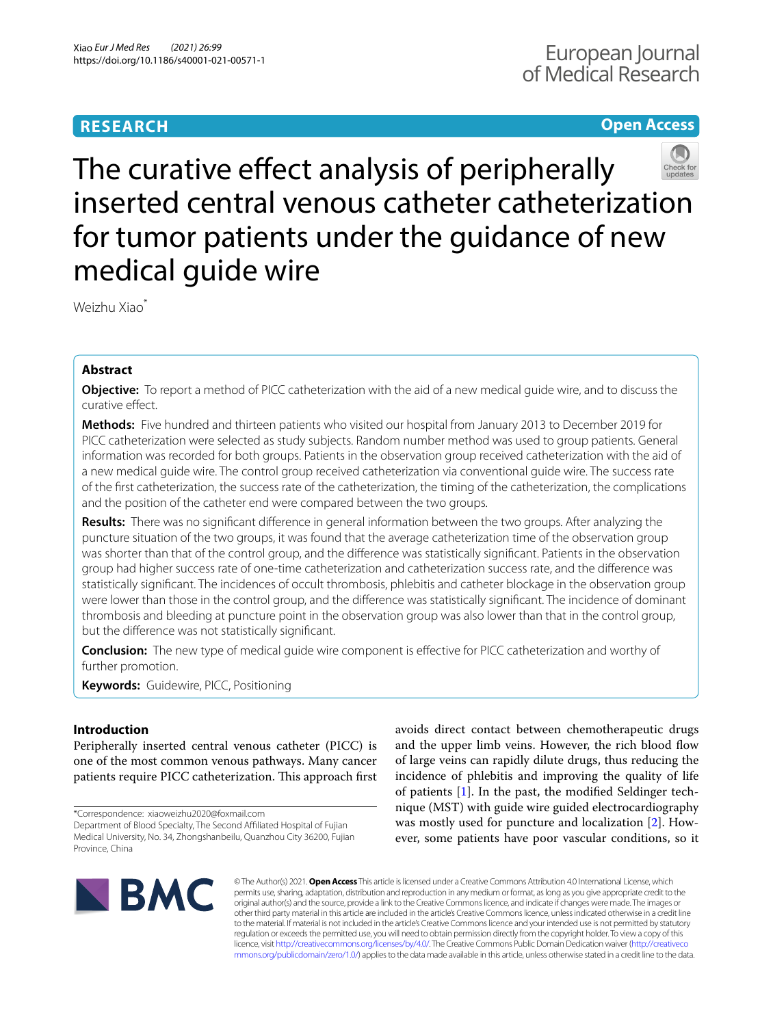# **RESEARCH**

# **Open Access**



The curative effect analysis of peripherally inserted central venous catheter catheterization for tumor patients under the guidance of new medical guide wire

Weizhu Xiao\*

# **Abstract**

**Objective:** To report a method of PICC catheterization with the aid of a new medical guide wire, and to discuss the curative efect.

**Methods:** Five hundred and thirteen patients who visited our hospital from January 2013 to December 2019 for PICC catheterization were selected as study subjects. Random number method was used to group patients. General information was recorded for both groups. Patients in the observation group received catheterization with the aid of a new medical guide wire. The control group received catheterization via conventional guide wire. The success rate of the frst catheterization, the success rate of the catheterization, the timing of the catheterization, the complications and the position of the catheter end were compared between the two groups.

**Results:** There was no signifcant diference in general information between the two groups. After analyzing the puncture situation of the two groups, it was found that the average catheterization time of the observation group was shorter than that of the control group, and the diference was statistically signifcant. Patients in the observation group had higher success rate of one-time catheterization and catheterization success rate, and the diference was statistically signifcant. The incidences of occult thrombosis, phlebitis and catheter blockage in the observation group were lower than those in the control group, and the diference was statistically signifcant. The incidence of dominant thrombosis and bleeding at puncture point in the observation group was also lower than that in the control group, but the diference was not statistically signifcant.

**Conclusion:** The new type of medical guide wire component is efective for PICC catheterization and worthy of further promotion.

**Keywords:** Guidewire, PICC, Positioning

# **Introduction**

Peripherally inserted central venous catheter (PICC) is one of the most common venous pathways. Many cancer patients require PICC catheterization. This approach first

\*Correspondence: xiaoweizhu2020@foxmail.com

avoids direct contact between chemotherapeutic drugs and the upper limb veins. However, the rich blood fow of large veins can rapidly dilute drugs, thus reducing the incidence of phlebitis and improving the quality of life of patients [\[1\]](#page-5-0). In the past, the modifed Seldinger technique (MST) with guide wire guided electrocardiography was mostly used for puncture and localization [\[2\]](#page-5-1). However, some patients have poor vascular conditions, so it



© The Author(s) 2021. **Open Access** This article is licensed under a Creative Commons Attribution 4.0 International License, which permits use, sharing, adaptation, distribution and reproduction in any medium or format, as long as you give appropriate credit to the original author(s) and the source, provide a link to the Creative Commons licence, and indicate if changes were made. The images or other third party material in this article are included in the article's Creative Commons licence, unless indicated otherwise in a credit line to the material. If material is not included in the article's Creative Commons licence and your intended use is not permitted by statutory regulation or exceeds the permitted use, you will need to obtain permission directly from the copyright holder. To view a copy of this licence, visit [http://creativecommons.org/licenses/by/4.0/.](http://creativecommons.org/licenses/by/4.0/) The Creative Commons Public Domain Dedication waiver ([http://creativeco](http://creativecommons.org/publicdomain/zero/1.0/) [mmons.org/publicdomain/zero/1.0/](http://creativecommons.org/publicdomain/zero/1.0/)) applies to the data made available in this article, unless otherwise stated in a credit line to the data.

Department of Blood Specialty, The Second Afliated Hospital of Fujian Medical University, No. 34, Zhongshanbeilu, Quanzhou City 36200, Fujian Province, China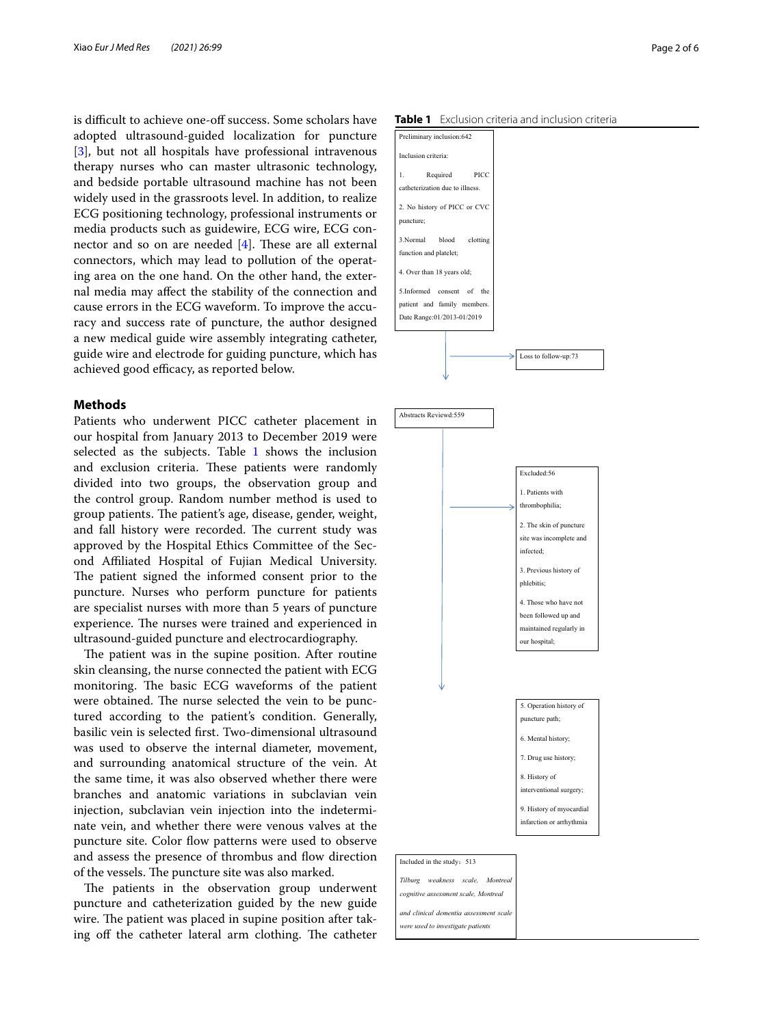is difficult to achieve one-off success. Some scholars have adopted ultrasound-guided localization for puncture [[3\]](#page-5-2), but not all hospitals have professional intravenous therapy nurses who can master ultrasonic technology, and bedside portable ultrasound machine has not been widely used in the grassroots level. In addition, to realize ECG positioning technology, professional instruments or media products such as guidewire, ECG wire, ECG connector and so on are needed  $[4]$  $[4]$ . These are all external connectors, which may lead to pollution of the operating area on the one hand. On the other hand, the external media may afect the stability of the connection and cause errors in the ECG waveform. To improve the accuracy and success rate of puncture, the author designed a new medical guide wire assembly integrating catheter, guide wire and electrode for guiding puncture, which has achieved good efficacy, as reported below.

# **Methods**

Patients who underwent PICC catheter placement in our hospital from January 2013 to December 2019 were selected as the subjects. Table [1](#page-1-0) shows the inclusion and exclusion criteria. These patients were randomly divided into two groups, the observation group and the control group. Random number method is used to group patients. The patient's age, disease, gender, weight, and fall history were recorded. The current study was approved by the Hospital Ethics Committee of the Second Afliated Hospital of Fujian Medical University. The patient signed the informed consent prior to the puncture. Nurses who perform puncture for patients are specialist nurses with more than 5 years of puncture experience. The nurses were trained and experienced in ultrasound-guided puncture and electrocardiography.

The patient was in the supine position. After routine skin cleansing, the nurse connected the patient with ECG monitoring. The basic ECG waveforms of the patient were obtained. The nurse selected the vein to be punctured according to the patient's condition. Generally, basilic vein is selected frst. Two-dimensional ultrasound was used to observe the internal diameter, movement, and surrounding anatomical structure of the vein. At the same time, it was also observed whether there were branches and anatomic variations in subclavian vein injection, subclavian vein injection into the indeterminate vein, and whether there were venous valves at the puncture site. Color flow patterns were used to observe and assess the presence of thrombus and fow direction of the vessels. The puncture site was also marked.

The patients in the observation group underwent puncture and catheterization guided by the new guide wire. The patient was placed in supine position after taking off the catheter lateral arm clothing. The catheter

<span id="page-1-0"></span>

| Preliminary inclusion:642       |                      |  |
|---------------------------------|----------------------|--|
| Inclusion criteria:             |                      |  |
| Required<br>PICC<br>1.          |                      |  |
| catheterization due to illness. |                      |  |
| 2. No history of PICC or CVC    |                      |  |
| puncture;                       |                      |  |
| 3.Normal<br>blood<br>clotting   |                      |  |
| function and platelet;          |                      |  |
| 4. Over than 18 years old;      |                      |  |
| 5.Informed<br>consent<br>of the |                      |  |
| patient and family members.     |                      |  |
| Date Range: 01/2013-01/2019     |                      |  |
|                                 | Loss to follow-up:73 |  |
|                                 |                      |  |
| Abstracts Reviewd:559           |                      |  |
|                                 |                      |  |
|                                 |                      |  |



*and clinical dementia assessment scale were used to investigate patients*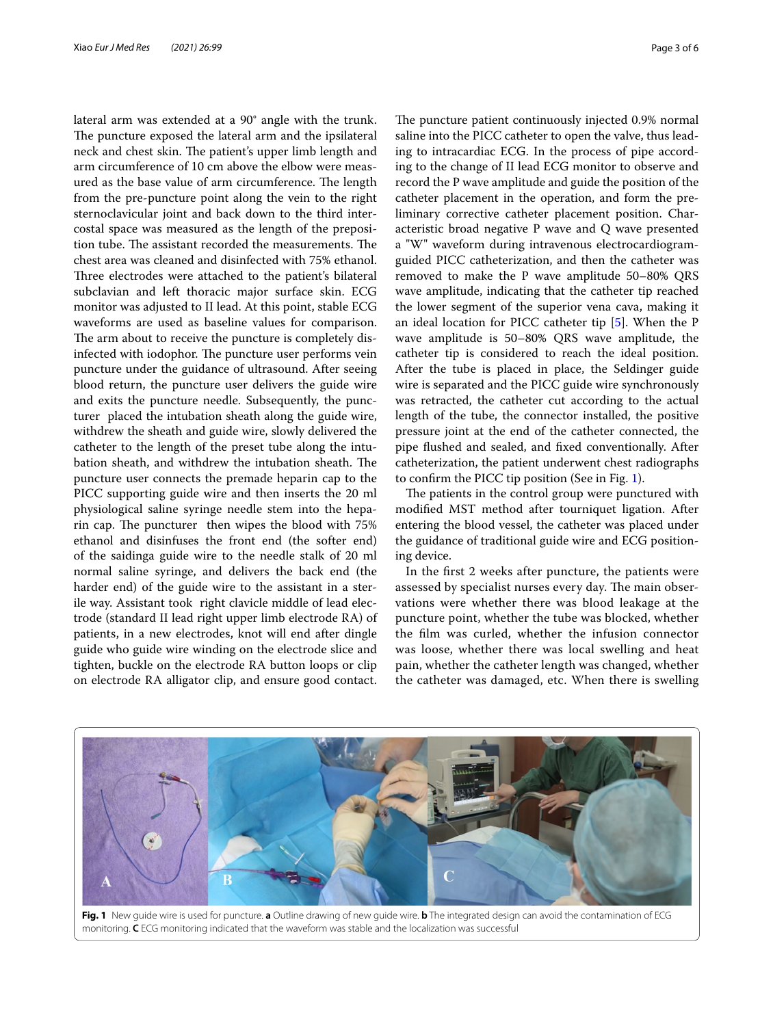lateral arm was extended at a 90° angle with the trunk. The puncture exposed the lateral arm and the ipsilateral neck and chest skin. The patient's upper limb length and arm circumference of 10 cm above the elbow were measured as the base value of arm circumference. The length from the pre-puncture point along the vein to the right sternoclavicular joint and back down to the third intercostal space was measured as the length of the preposition tube. The assistant recorded the measurements. The chest area was cleaned and disinfected with 75% ethanol. Three electrodes were attached to the patient's bilateral subclavian and left thoracic major surface skin. ECG monitor was adjusted to II lead. At this point, stable ECG waveforms are used as baseline values for comparison. The arm about to receive the puncture is completely disinfected with iodophor. The puncture user performs vein puncture under the guidance of ultrasound. After seeing blood return, the puncture user delivers the guide wire and exits the puncture needle. Subsequently, the puncturer placed the intubation sheath along the guide wire, withdrew the sheath and guide wire, slowly delivered the catheter to the length of the preset tube along the intubation sheath, and withdrew the intubation sheath. The puncture user connects the premade heparin cap to the PICC supporting guide wire and then inserts the 20 ml physiological saline syringe needle stem into the heparin cap. The puncturer then wipes the blood with 75% ethanol and disinfuses the front end (the softer end) of the saidinga guide wire to the needle stalk of 20 ml normal saline syringe, and delivers the back end (the harder end) of the guide wire to the assistant in a sterile way. Assistant took right clavicle middle of lead electrode (standard II lead right upper limb electrode RA) of patients, in a new electrodes, knot will end after dingle guide who guide wire winding on the electrode slice and tighten, buckle on the electrode RA button loops or clip on electrode RA alligator clip, and ensure good contact.

The puncture patient continuously injected 0.9% normal saline into the PICC catheter to open the valve, thus leading to intracardiac ECG. In the process of pipe according to the change of II lead ECG monitor to observe and record the P wave amplitude and guide the position of the catheter placement in the operation, and form the preliminary corrective catheter placement position. Characteristic broad negative P wave and Q wave presented a "W" waveform during intravenous electrocardiogramguided PICC catheterization, and then the catheter was removed to make the P wave amplitude 50–80% QRS wave amplitude, indicating that the catheter tip reached the lower segment of the superior vena cava, making it an ideal location for PICC catheter tip [[5\]](#page-5-4). When the P wave amplitude is 50–80% QRS wave amplitude, the catheter tip is considered to reach the ideal position. After the tube is placed in place, the Seldinger guide wire is separated and the PICC guide wire synchronously was retracted, the catheter cut according to the actual length of the tube, the connector installed, the positive pressure joint at the end of the catheter connected, the pipe fushed and sealed, and fxed conventionally. After catheterization, the patient underwent chest radiographs to confrm the PICC tip position (See in Fig. [1\)](#page-2-0).

The patients in the control group were punctured with modifed MST method after tourniquet ligation. After entering the blood vessel, the catheter was placed under the guidance of traditional guide wire and ECG positioning device.

In the frst 2 weeks after puncture, the patients were assessed by specialist nurses every day. The main observations were whether there was blood leakage at the puncture point, whether the tube was blocked, whether the flm was curled, whether the infusion connector was loose, whether there was local swelling and heat pain, whether the catheter length was changed, whether the catheter was damaged, etc. When there is swelling



<span id="page-2-0"></span>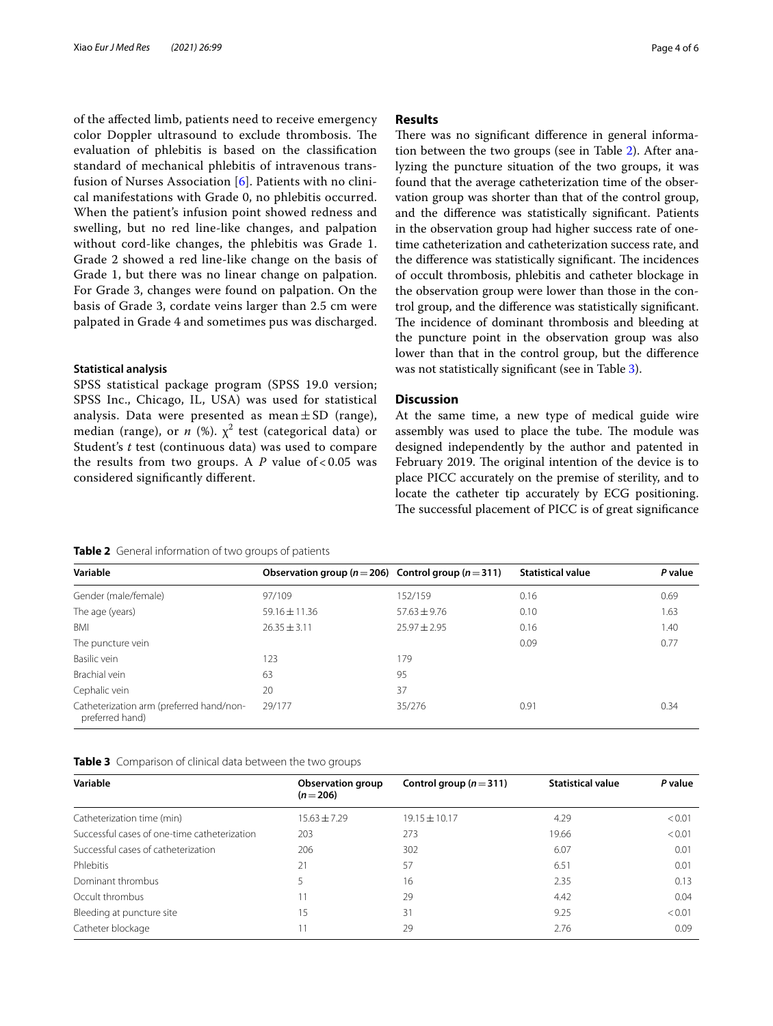of the afected limb, patients need to receive emergency color Doppler ultrasound to exclude thrombosis. The evaluation of phlebitis is based on the classifcation standard of mechanical phlebitis of intravenous transfusion of Nurses Association [[6](#page-5-5)]. Patients with no clinical manifestations with Grade 0, no phlebitis occurred. When the patient's infusion point showed redness and swelling, but no red line-like changes, and palpation without cord-like changes, the phlebitis was Grade 1. Grade 2 showed a red line-like change on the basis of Grade 1, but there was no linear change on palpation. For Grade 3, changes were found on palpation. On the basis of Grade 3, cordate veins larger than 2.5 cm were palpated in Grade 4 and sometimes pus was discharged.

## **Statistical analysis**

SPSS statistical package program (SPSS 19.0 version; SPSS Inc., Chicago, IL, USA) was used for statistical analysis. Data were presented as mean  $\pm$  SD (range), median (range), or  $n \ (\%)$ .  $\chi^2$  test (categorical data) or Student's *t* test (continuous data) was used to compare the results from two groups. A  $P$  value of < 0.05 was considered signifcantly diferent.

# **Results**

There was no significant difference in general information between the two groups (see in Table [2\)](#page-3-0). After analyzing the puncture situation of the two groups, it was found that the average catheterization time of the observation group was shorter than that of the control group, and the diference was statistically signifcant. Patients in the observation group had higher success rate of onetime catheterization and catheterization success rate, and the difference was statistically significant. The incidences of occult thrombosis, phlebitis and catheter blockage in the observation group were lower than those in the control group, and the diference was statistically signifcant. The incidence of dominant thrombosis and bleeding at the puncture point in the observation group was also lower than that in the control group, but the diference was not statistically signifcant (see in Table [3](#page-3-1)).

# **Discussion**

At the same time, a new type of medical guide wire assembly was used to place the tube. The module was designed independently by the author and patented in February 2019. The original intention of the device is to place PICC accurately on the premise of sterility, and to locate the catheter tip accurately by ECG positioning. The successful placement of PICC is of great significance

## <span id="page-3-0"></span>**Table 2** General information of two groups of patients

|                   |                  | <b>Statistical value</b>                                    | P value |
|-------------------|------------------|-------------------------------------------------------------|---------|
| 97/109            | 152/159          | 0.16                                                        | 0.69    |
| $59.16 \pm 11.36$ | $57.63 \pm 9.76$ | 0.10                                                        | 1.63    |
| $26.35 \pm 3.11$  | $75.97 + 7.95$   | 0.16                                                        | 1.40    |
|                   |                  | 0.09                                                        | 0.77    |
| 123               | 179              |                                                             |         |
| 63                | 95               |                                                             |         |
| 20                | 37               |                                                             |         |
| 29/177            | 35/276           | 0.91                                                        | 0.34    |
|                   |                  | Observation group ( $n = 206$ ) Control group ( $n = 311$ ) |         |

<span id="page-3-1"></span>

|  | Table 3 Comparison of clinical data between the two groups |  |  |  |  |  |
|--|------------------------------------------------------------|--|--|--|--|--|
|--|------------------------------------------------------------|--|--|--|--|--|

| Variable                                     | Observation group<br>$(n=206)$ | Control group ( $n = 311$ ) | <b>Statistical value</b> | P value |
|----------------------------------------------|--------------------------------|-----------------------------|--------------------------|---------|
| Catheterization time (min)                   | $15.63 \pm 7.29$               | $19.15 \pm 10.17$           | 4.29                     | < 0.01  |
| Successful cases of one-time catheterization | 203                            | 273                         | 19.66                    | < 0.01  |
| Successful cases of catheterization          | 206                            | 302                         | 6.07                     | 0.01    |
| Phlebitis                                    | 21                             | 57                          | 6.51                     | 0.01    |
| Dominant thrombus                            |                                | 16                          | 2.35                     | 0.13    |
| Occult thrombus                              |                                | 29                          | 4.42                     | 0.04    |
| Bleeding at puncture site                    | 15                             | 31                          | 9.25                     | < 0.01  |
| Catheter blockage                            |                                | 29                          | 2.76                     | 0.09    |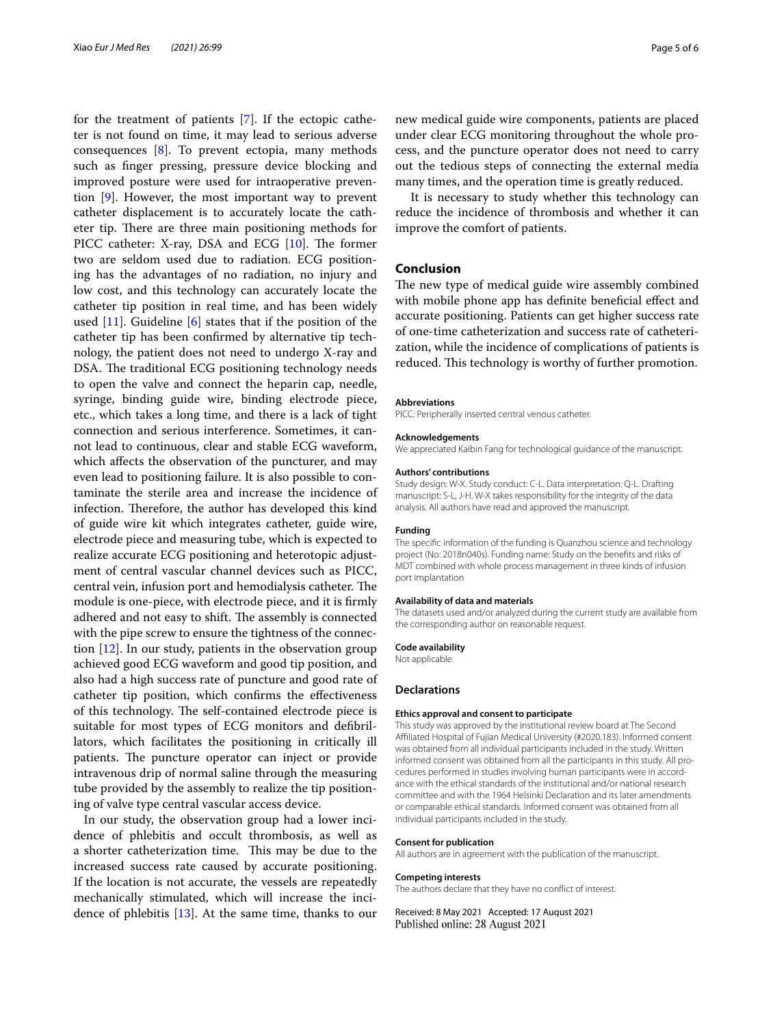for the treatment of patients [[7\]](#page-5-6). If the ectopic catheter is not found on time, it may lead to serious adverse consequences [[8\]](#page-5-7). To prevent ectopia, many methods such as fnger pressing, pressure device blocking and improved posture were used for intraoperative prevention [[9\]](#page-5-8). However, the most important way to prevent catheter displacement is to accurately locate the catheter tip. There are three main positioning methods for PICC catheter: X-ray, DSA and ECG  $[10]$  $[10]$ . The former two are seldom used due to radiation. ECG positioning has the advantages of no radiation, no injury and low cost, and this technology can accurately locate the catheter tip position in real time, and has been widely used  $[11]$  $[11]$ . Guideline  $[6]$  $[6]$  states that if the position of the catheter tip has been confrmed by alternative tip technology, the patient does not need to undergo X-ray and DSA. The traditional ECG positioning technology needs to open the valve and connect the heparin cap, needle, syringe, binding guide wire, binding electrode piece, etc., which takes a long time, and there is a lack of tight connection and serious interference. Sometimes, it cannot lead to continuous, clear and stable ECG waveform, which afects the observation of the puncturer, and may even lead to positioning failure. It is also possible to contaminate the sterile area and increase the incidence of infection. Therefore, the author has developed this kind of guide wire kit which integrates catheter, guide wire, electrode piece and measuring tube, which is expected to realize accurate ECG positioning and heterotopic adjustment of central vascular channel devices such as PICC, central vein, infusion port and hemodialysis catheter. The module is one-piece, with electrode piece, and it is frmly adhered and not easy to shift. The assembly is connected with the pipe screw to ensure the tightness of the connection [\[12](#page-5-11)]. In our study, patients in the observation group achieved good ECG waveform and good tip position, and also had a high success rate of puncture and good rate of catheter tip position, which confrms the efectiveness of this technology. The self-contained electrode piece is suitable for most types of ECG monitors and defbrillators, which facilitates the positioning in critically ill patients. The puncture operator can inject or provide intravenous drip of normal saline through the measuring tube provided by the assembly to realize the tip positioning of valve type central vascular access device.

In our study, the observation group had a lower incidence of phlebitis and occult thrombosis, as well as a shorter catheterization time. This may be due to the increased success rate caused by accurate positioning. If the location is not accurate, the vessels are repeatedly mechanically stimulated, which will increase the incidence of phlebitis  $[13]$ . At the same time, thanks to our new medical guide wire components, patients are placed under clear ECG monitoring throughout the whole process, and the puncture operator does not need to carry out the tedious steps of connecting the external media many times, and the operation time is greatly reduced.

 It is necessary to study whether this technology can reduce the incidence of thrombosis and whether it can improve the comfort of patients.

# **Conclusion**

The new type of medical guide wire assembly combined with mobile phone app has definite beneficial effect and accurate positioning. Patients can get higher success rate of one-time catheterization and success rate of catheterization, while the incidence of complications of patients is reduced. This technology is worthy of further promotion.

### **Abbreviations**

PICC: Peripherally inserted central venous catheter.

#### **Acknowledgements**

We appreciated Kaibin Fang for technological guidance of the manuscript.

#### **Authors' contributions**

Study design: W-X. Study conduct: C-L. Data interpretation: Q-L. Drafting manuscript: S-L, J-H. W-X takes responsibility for the integrity of the data analysis. All authors have read and approved the manuscript.

## **Funding**

The specifc information of the funding is Quanzhou science and technology project (No: 2018n040s). Funding name: Study on the benefts and risks of MDT combined with whole process management in three kinds of infusion port implantation

#### **Availability of data and materials**

The datasets used and/or analyzed during the current study are available from the corresponding author on reasonable request.

#### **Code availability**

Not applicable.

#### **Declarations**

## **Ethics approval and consent to participate**

This study was approved by the institutional review board at The Second Afliated Hospital of Fujian Medical University (#2020.183). Informed consent was obtained from all individual participants included in the study. Written informed consent was obtained from all the participants in this study. All procedures performed in studies involving human participants were in accordance with the ethical standards of the institutional and/or national research committee and with the 1964 Helsinki Declaration and its later amendments or comparable ethical standards. Informed consent was obtained from all individual participants included in the study.

## **Consent for publication**

All authors are in agreement with the publication of the manuscript.

#### **Competing interests**

The authors declare that they have no confict of interest.

Received: 8 May 2021 Accepted: 17 August 2021Published online: 28 August 2021